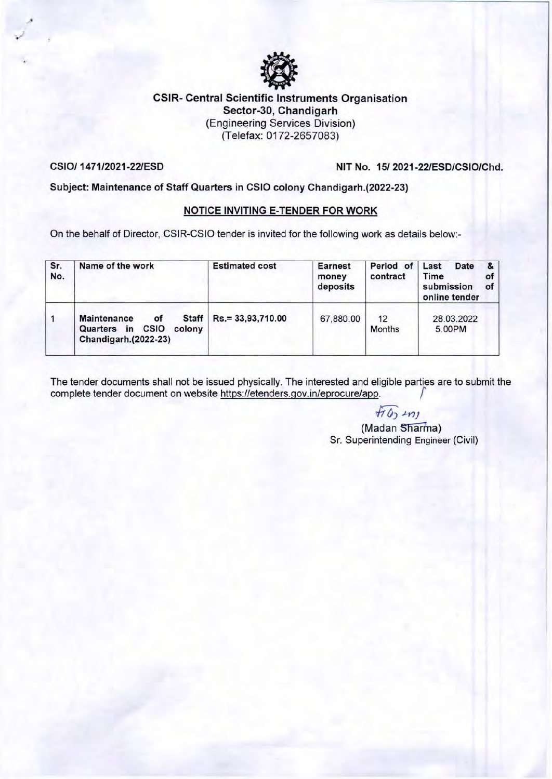

### CSIR- Central Scientific Instruments Organisation Sector-30, Chandigarh (Engineering Services Division) (Telefax: 0172-2657083)

 $\cdot$ 

CSI0/ 1471/2021-22/ESD NIT No. 15/ 2021-22/ESD/CSIO/Chd.

### Subject: Maintenance of Staff Quarters in CSIO colony Chandigarh.(2022-23)

### NOTICE INVITING E-TENDER FOR WORK

On the behalf of Director, CSIR-CSIO tender is invited for the following work as details below:-

| Sr.<br>No.   | Name of the work                                                                        | <b>Estimated cost</b> | <b>Earnest</b><br>money<br>deposits | Period of Last<br>contract | &<br>Date<br>Time<br>οf<br>submission<br>of<br>online tender |
|--------------|-----------------------------------------------------------------------------------------|-----------------------|-------------------------------------|----------------------------|--------------------------------------------------------------|
| $\mathbf{1}$ | Staff<br><b>Maintenance</b><br>οf<br>Quarters in CSIO<br>colony<br>Chandigarh.(2022-23) | Rs.= 33,93,710.00     | 67,880.00                           | 12<br><b>Months</b>        | 28.03.2022<br>5.00PM                                         |

The tender documents shall not be issued physically. The interested and eligible parties are to submit the complete tender document on website https://etenders.gov.in/eprocure/app. *r* 

 $f_1$  $f_2$   $m_1$ 

(Madan Sharma) Sr. Superintending Engineer (Civil)